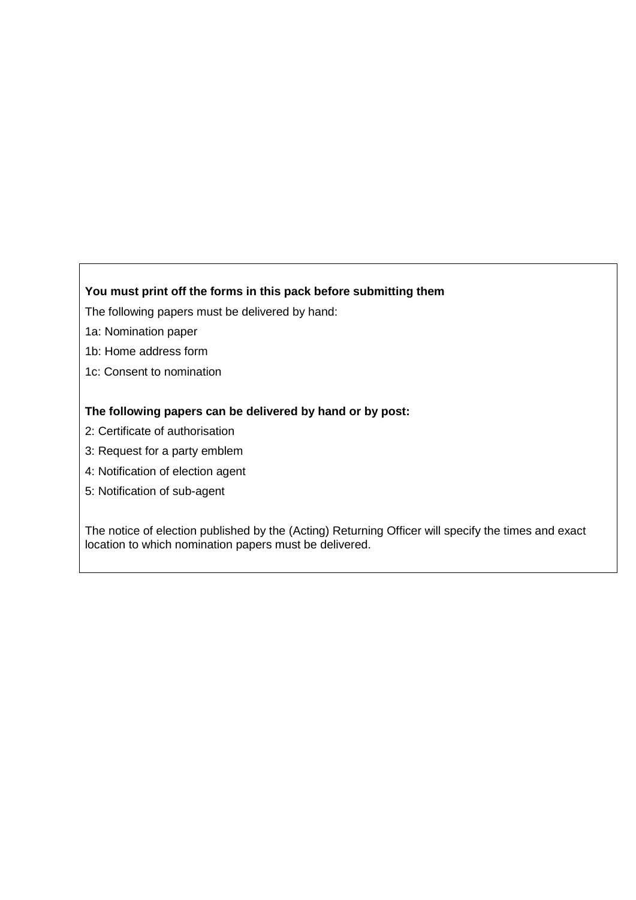## **You must print off the forms in this pack before submitting them**

The following papers must be delivered by hand:

- 1a: Nomination paper
- 1b: Home address form
- 1c: Consent to nomination

## **The following papers can be delivered by hand or by post:**

- 2: Certificate of authorisation
- 3: Request for a party emblem
- 4: Notification of election agent
- 5: Notification of sub-agent

The notice of election published by the (Acting) Returning Officer will specify the times and exact location to which nomination papers must be delivered.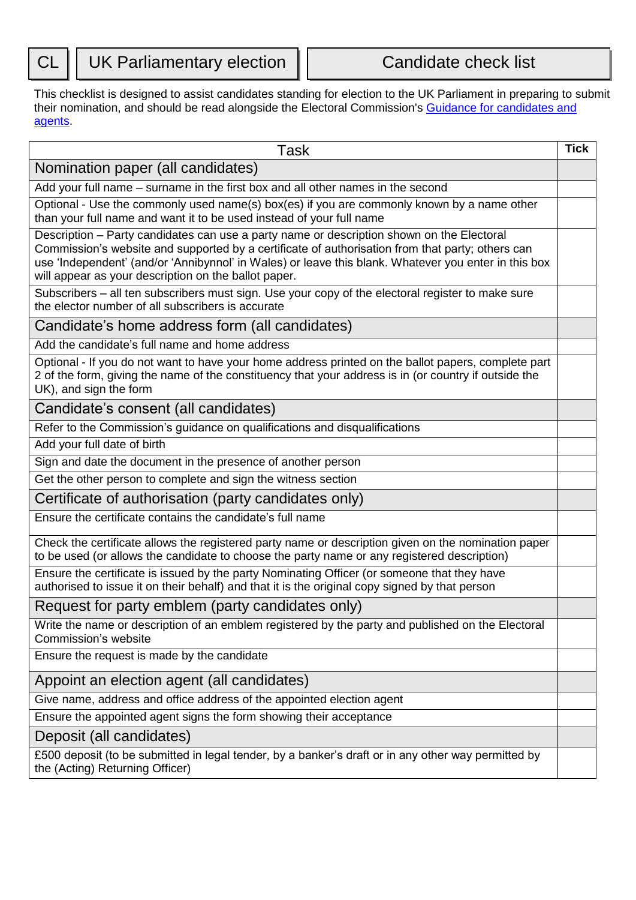This checklist is designed to assist candidates standing for election to the UK Parliament in preparing to submit their nomination, and should be read alongside the Electoral Commission's [Guidance for candidates and](http://www.electoralcommission.org.uk/i-am-a/candidate-or-agent/uk-parliamentary-general-election-great-britain)  [agents.](http://www.electoralcommission.org.uk/i-am-a/candidate-or-agent/uk-parliamentary-general-election-great-britain)

| Task                                                                                                                                                                                                                                                                                                                                                          | <b>Tick</b> |
|---------------------------------------------------------------------------------------------------------------------------------------------------------------------------------------------------------------------------------------------------------------------------------------------------------------------------------------------------------------|-------------|
| Nomination paper (all candidates)                                                                                                                                                                                                                                                                                                                             |             |
| Add your full name – surname in the first box and all other names in the second                                                                                                                                                                                                                                                                               |             |
| Optional - Use the commonly used name(s) box(es) if you are commonly known by a name other<br>than your full name and want it to be used instead of your full name                                                                                                                                                                                            |             |
| Description - Party candidates can use a party name or description shown on the Electoral<br>Commission's website and supported by a certificate of authorisation from that party; others can<br>use 'Independent' (and/or 'Annibynnol' in Wales) or leave this blank. Whatever you enter in this box<br>will appear as your description on the ballot paper. |             |
| Subscribers - all ten subscribers must sign. Use your copy of the electoral register to make sure<br>the elector number of all subscribers is accurate                                                                                                                                                                                                        |             |
| Candidate's home address form (all candidates)                                                                                                                                                                                                                                                                                                                |             |
| Add the candidate's full name and home address                                                                                                                                                                                                                                                                                                                |             |
| Optional - If you do not want to have your home address printed on the ballot papers, complete part<br>2 of the form, giving the name of the constituency that your address is in (or country if outside the<br>UK), and sign the form                                                                                                                        |             |
| Candidate's consent (all candidates)                                                                                                                                                                                                                                                                                                                          |             |
| Refer to the Commission's guidance on qualifications and disqualifications                                                                                                                                                                                                                                                                                    |             |
| Add your full date of birth                                                                                                                                                                                                                                                                                                                                   |             |
| Sign and date the document in the presence of another person                                                                                                                                                                                                                                                                                                  |             |
| Get the other person to complete and sign the witness section                                                                                                                                                                                                                                                                                                 |             |
| Certificate of authorisation (party candidates only)                                                                                                                                                                                                                                                                                                          |             |
| Ensure the certificate contains the candidate's full name                                                                                                                                                                                                                                                                                                     |             |
| Check the certificate allows the registered party name or description given on the nomination paper<br>to be used (or allows the candidate to choose the party name or any registered description)                                                                                                                                                            |             |
| Ensure the certificate is issued by the party Nominating Officer (or someone that they have<br>authorised to issue it on their behalf) and that it is the original copy signed by that person                                                                                                                                                                 |             |
| Request for party emblem (party candidates only)                                                                                                                                                                                                                                                                                                              |             |
| Write the name or description of an emblem registered by the party and published on the Electoral<br>Commission's website                                                                                                                                                                                                                                     |             |
| Ensure the request is made by the candidate                                                                                                                                                                                                                                                                                                                   |             |
| Appoint an election agent (all candidates)                                                                                                                                                                                                                                                                                                                    |             |
| Give name, address and office address of the appointed election agent                                                                                                                                                                                                                                                                                         |             |
| Ensure the appointed agent signs the form showing their acceptance                                                                                                                                                                                                                                                                                            |             |
| Deposit (all candidates)                                                                                                                                                                                                                                                                                                                                      |             |
| £500 deposit (to be submitted in legal tender, by a banker's draft or in any other way permitted by<br>the (Acting) Returning Officer)                                                                                                                                                                                                                        |             |
|                                                                                                                                                                                                                                                                                                                                                               |             |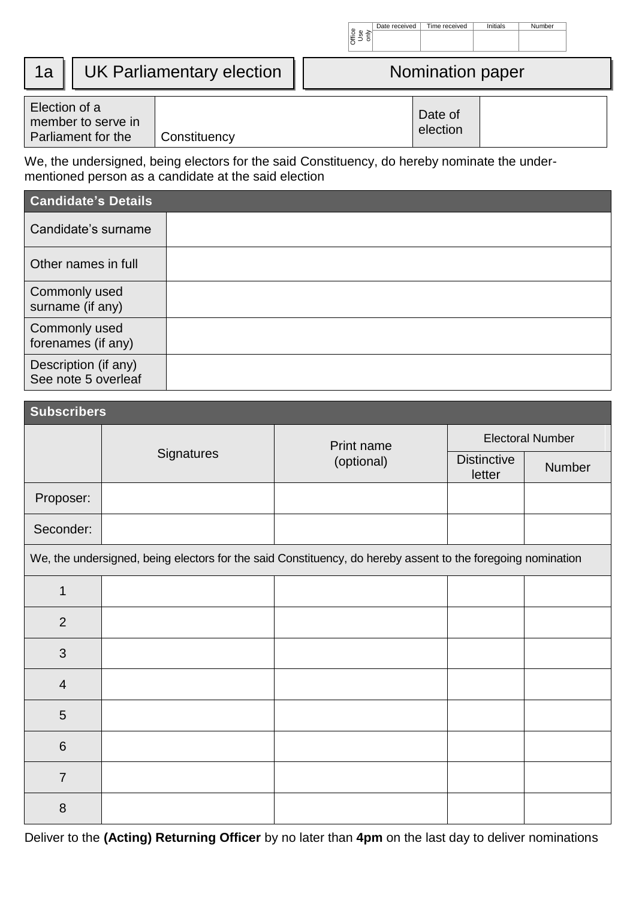|    |                                                          |                                  | 물 % ả'<br> 동 금 증    |
|----|----------------------------------------------------------|----------------------------------|---------------------|
| 1a |                                                          | <b>UK Parliamentary election</b> | Nomination paper    |
|    | Election of a<br>member to serve in<br>$D = \frac{1}{2}$ | $O = 1$                          | Date of<br>election |

Date received | Time received | Initials | Number

We, the undersigned, being electors for the said Constituency, do hereby nominate the undermentioned person as a candidate at the said election

Parliament for the Constituency

| <b>Candidate's Details</b>                  |  |
|---------------------------------------------|--|
| Candidate's surname                         |  |
| Other names in full                         |  |
| Commonly used<br>surname (if any)           |  |
| Commonly used<br>forenames (if any)         |  |
| Description (if any)<br>See note 5 overleaf |  |

| <b>Subscribers</b> |            |                                                                                                             |                              |                         |
|--------------------|------------|-------------------------------------------------------------------------------------------------------------|------------------------------|-------------------------|
|                    |            | Print name                                                                                                  |                              | <b>Electoral Number</b> |
|                    | Signatures | (optional)                                                                                                  | <b>Distinctive</b><br>letter | Number                  |
| Proposer:          |            |                                                                                                             |                              |                         |
| Seconder:          |            |                                                                                                             |                              |                         |
|                    |            | We, the undersigned, being electors for the said Constituency, do hereby assent to the foregoing nomination |                              |                         |
| $\mathbf{1}$       |            |                                                                                                             |                              |                         |
| $\overline{2}$     |            |                                                                                                             |                              |                         |
| 3                  |            |                                                                                                             |                              |                         |
| $\overline{4}$     |            |                                                                                                             |                              |                         |
| 5                  |            |                                                                                                             |                              |                         |
| $\,$ 6 $\,$        |            |                                                                                                             |                              |                         |
| $\overline{7}$     |            |                                                                                                             |                              |                         |
| 8                  |            |                                                                                                             |                              |                         |

Deliver to the **(Acting) Returning Officer** by no later than **4pm** on the last day to deliver nominations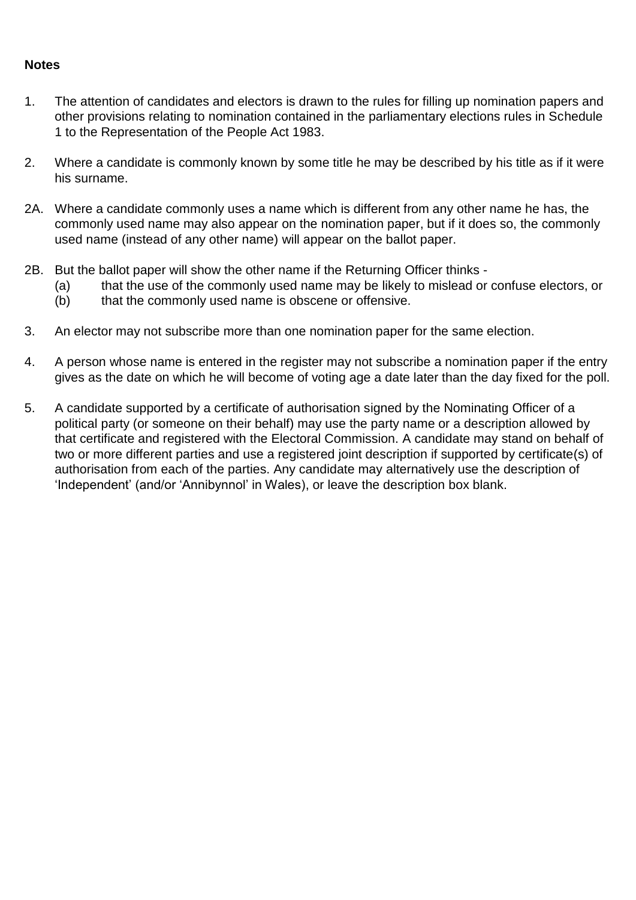## **Notes**

- 1. The attention of candidates and electors is drawn to the rules for filling up nomination papers and other provisions relating to nomination contained in the parliamentary elections rules in Schedule 1 to the Representation of the People Act 1983.
- 2. Where a candidate is commonly known by some title he may be described by his title as if it were his surname.
- 2A. Where a candidate commonly uses a name which is different from any other name he has, the commonly used name may also appear on the nomination paper, but if it does so, the commonly used name (instead of any other name) will appear on the ballot paper.
- 2B. But the ballot paper will show the other name if the Returning Officer thinks
	- (a) that the use of the commonly used name may be likely to mislead or confuse electors, or
	- (b) that the commonly used name is obscene or offensive.
- 3. An elector may not subscribe more than one nomination paper for the same election.
- 4. A person whose name is entered in the register may not subscribe a nomination paper if the entry gives as the date on which he will become of voting age a date later than the day fixed for the poll.
- 5. A candidate supported by a certificate of authorisation signed by the Nominating Officer of a political party (or someone on their behalf) may use the party name or a description allowed by that certificate and registered with the Electoral Commission. A candidate may stand on behalf of two or more different parties and use a registered joint description if supported by certificate(s) of authorisation from each of the parties. Any candidate may alternatively use the description of 'Independent' (and/or 'Annibynnol' in Wales), or leave the description box blank.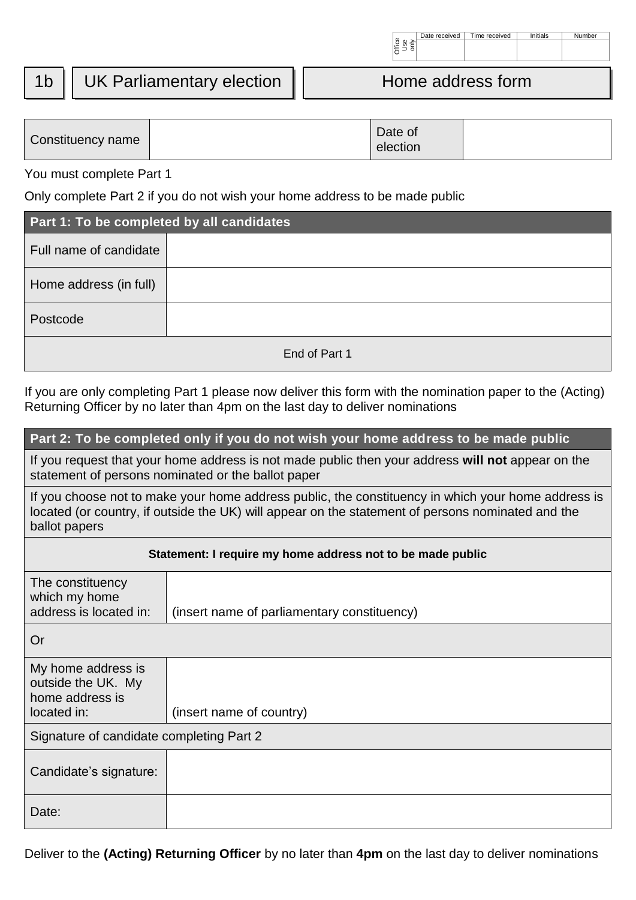| 1b   UK Parliamentary election  <br>Home address form |
|-------------------------------------------------------|
|-------------------------------------------------------|

Date received | Time received | Initials | Number

| Constituency name | Date of<br>election |  |
|-------------------|---------------------|--|
|                   |                     |  |

| Part 1: To be completed by all candidates |               |
|-------------------------------------------|---------------|
| Full name of candidate                    |               |
| Home address (in full)                    |               |
| Postcode                                  |               |
|                                           | End of Part 1 |

## **Part 2: To be completed only if you do not wish your home address to be made public**

|                                                                                                                                                                                                                          |                                                            |               | $\begin{array}{c} \left  \begin{smallmatrix} 0 \\ \text{g} \\ \text{h} \end{smallmatrix} \right  \leq \frac{1}{2} \end{array} \end{array}$ |  |  |
|--------------------------------------------------------------------------------------------------------------------------------------------------------------------------------------------------------------------------|------------------------------------------------------------|---------------|--------------------------------------------------------------------------------------------------------------------------------------------|--|--|
| 1b                                                                                                                                                                                                                       | <b>UK Parliamentary election</b>                           |               | Home address form                                                                                                                          |  |  |
| Constituency name                                                                                                                                                                                                        |                                                            |               | Date of<br>election                                                                                                                        |  |  |
| You must complete Part 1                                                                                                                                                                                                 |                                                            |               |                                                                                                                                            |  |  |
| Only complete Part 2 if you do not wish your home address to be made public                                                                                                                                              |                                                            |               |                                                                                                                                            |  |  |
| Part 1: To be completed by all candidates                                                                                                                                                                                |                                                            |               |                                                                                                                                            |  |  |
| Full name of candidate                                                                                                                                                                                                   |                                                            |               |                                                                                                                                            |  |  |
| Home address (in full)                                                                                                                                                                                                   |                                                            |               |                                                                                                                                            |  |  |
| Postcode                                                                                                                                                                                                                 |                                                            |               |                                                                                                                                            |  |  |
|                                                                                                                                                                                                                          |                                                            | End of Part 1 |                                                                                                                                            |  |  |
| If you are only completing Part 1 please now deliver this form with the nomination paper to the (Acting)<br>Returning Officer by no later than 4pm on the last day to deliver nominations                                |                                                            |               |                                                                                                                                            |  |  |
| Part 2: To be completed only if you do not wish your home address to be made public                                                                                                                                      |                                                            |               |                                                                                                                                            |  |  |
| If you request that your home address is not made public then your address will not appear on the<br>statement of persons nominated or the ballot paper                                                                  |                                                            |               |                                                                                                                                            |  |  |
| If you choose not to make your home address public, the constituency in which your home address is<br>located (or country, if outside the UK) will appear on the statement of persons nominated and the<br>ballot papers |                                                            |               |                                                                                                                                            |  |  |
|                                                                                                                                                                                                                          | Statement: I require my home address not to be made public |               |                                                                                                                                            |  |  |
| The constituency<br>which my home<br>address is located in:                                                                                                                                                              | (insert name of parliamentary constituency)                |               |                                                                                                                                            |  |  |
| Or                                                                                                                                                                                                                       |                                                            |               |                                                                                                                                            |  |  |
| My home address is<br>outside the UK. My<br>home address is<br>located in:                                                                                                                                               | (insert name of country)                                   |               |                                                                                                                                            |  |  |
| Signature of candidate completing Part 2                                                                                                                                                                                 |                                                            |               |                                                                                                                                            |  |  |
| Candidate's signature:                                                                                                                                                                                                   |                                                            |               |                                                                                                                                            |  |  |
| Date:                                                                                                                                                                                                                    |                                                            |               |                                                                                                                                            |  |  |
| Deliver to the (Acting) Returning Officer by no later than 4pm on the last day to deliver nominations                                                                                                                    |                                                            |               |                                                                                                                                            |  |  |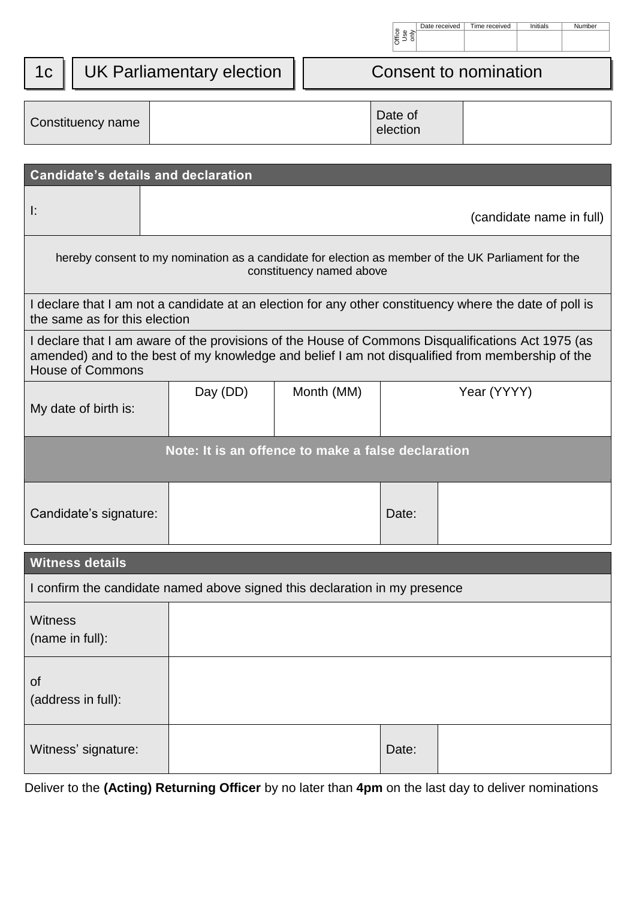| œ | Jate received | me received | als | 'mber |
|---|---------------|-------------|-----|-------|
|   |               |             |     |       |
|   |               |             |     |       |

|  | 1c   UK Parliamentary election | Consent to nomination |
|--|--------------------------------|-----------------------|
|--|--------------------------------|-----------------------|

|                                   |                               |                                                                                                                                                                                                        |                          | )<br>이 이 이<br>이 이 이   |                          |  |
|-----------------------------------|-------------------------------|--------------------------------------------------------------------------------------------------------------------------------------------------------------------------------------------------------|--------------------------|-----------------------|--------------------------|--|
| 1 <sub>C</sub>                    |                               | <b>UK Parliamentary election</b>                                                                                                                                                                       |                          | Consent to nomination |                          |  |
|                                   | Constituency name             |                                                                                                                                                                                                        |                          | Date of<br>election   |                          |  |
|                                   |                               | <b>Candidate's details and declaration</b>                                                                                                                                                             |                          |                       |                          |  |
| I:                                |                               |                                                                                                                                                                                                        |                          |                       | (candidate name in full) |  |
|                                   |                               | hereby consent to my nomination as a candidate for election as member of the UK Parliament for the                                                                                                     | constituency named above |                       |                          |  |
|                                   | the same as for this election | I declare that I am not a candidate at an election for any other constituency where the date of poll is                                                                                                |                          |                       |                          |  |
|                                   | <b>House of Commons</b>       | I declare that I am aware of the provisions of the House of Commons Disqualifications Act 1975 (as<br>amended) and to the best of my knowledge and belief I am not disqualified from membership of the |                          |                       |                          |  |
|                                   | My date of birth is:          | Day (DD)                                                                                                                                                                                               | Month (MM)               |                       | Year (YYYY)              |  |
|                                   |                               | Note: It is an offence to make a false declaration                                                                                                                                                     |                          |                       |                          |  |
|                                   | Candidate's signature:        |                                                                                                                                                                                                        |                          | Date:                 |                          |  |
|                                   | <b>Witness details</b>        |                                                                                                                                                                                                        |                          |                       |                          |  |
|                                   |                               | I confirm the candidate named above signed this declaration in my presence                                                                                                                             |                          |                       |                          |  |
| <b>Witness</b><br>(name in full): |                               |                                                                                                                                                                                                        |                          |                       |                          |  |
| of                                | (address in full):            |                                                                                                                                                                                                        |                          |                       |                          |  |
|                                   | Witness' signature:           |                                                                                                                                                                                                        |                          | Date:                 |                          |  |
|                                   |                               | Deliver to the (Acting) Returning Officer by no later than 4pm on the last day to deliver nominations                                                                                                  |                          |                       |                          |  |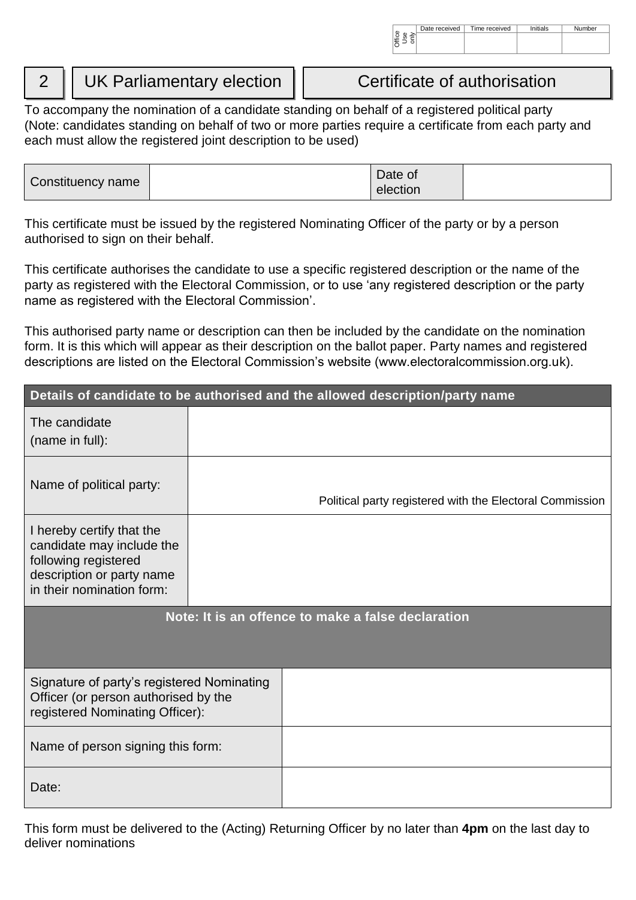# 2 | UK Parliamentary election | Certificate of authorisation

To accompany the nomination of a candidate standing on behalf of a registered political party (Note: candidates standing on behalf of two or more parties require a certificate from each party and each must allow the registered joint description to be used)

| Date of<br>Constituency name<br>election |
|------------------------------------------|
|------------------------------------------|

This certificate must be issued by the registered Nominating Officer of the party or by a person authorised to sign on their behalf.

This certificate authorises the candidate to use a specific registered description or the name of the party as registered with the Electoral Commission, or to use 'any registered description or the party name as registered with the Electoral Commission'.

This authorised party name or description can then be included by the candidate on the nomination form. It is this which will appear as their description on the ballot paper. Party names and registered descriptions are listed on the Electoral Commission's website (www.electoralcommission.org.uk).

|                                                                                                                                          |                                                    | Details of candidate to be authorised and the allowed description/party name |  |  |  |  |
|------------------------------------------------------------------------------------------------------------------------------------------|----------------------------------------------------|------------------------------------------------------------------------------|--|--|--|--|
| The candidate<br>(name in full):                                                                                                         |                                                    |                                                                              |  |  |  |  |
| Name of political party:                                                                                                                 |                                                    | Political party registered with the Electoral Commission                     |  |  |  |  |
| I hereby certify that the<br>candidate may include the<br>following registered<br>description or party name<br>in their nomination form: |                                                    |                                                                              |  |  |  |  |
|                                                                                                                                          | Note: It is an offence to make a false declaration |                                                                              |  |  |  |  |
| Signature of party's registered Nominating<br>Officer (or person authorised by the<br>registered Nominating Officer):                    |                                                    |                                                                              |  |  |  |  |
| Name of person signing this form:                                                                                                        |                                                    |                                                                              |  |  |  |  |
| Date:                                                                                                                                    |                                                    |                                                                              |  |  |  |  |

This form must be delivered to the (Acting) Returning Officer by no later than **4pm** on the last day to deliver nominations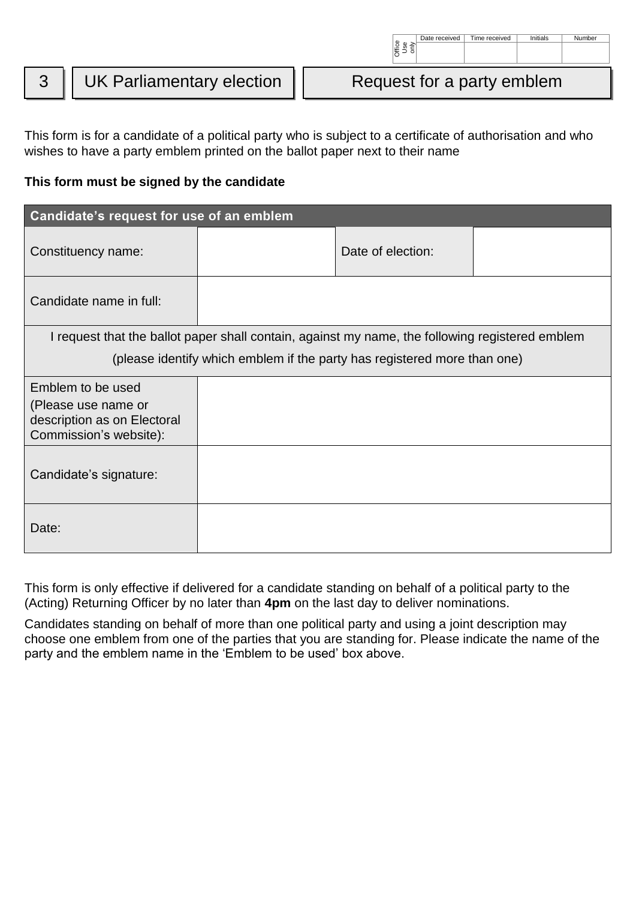Date received | Time received | Initials | Number

## **This form must be signed by the candidate**

|                                                                                                                                                                                                                                                                                                        |                                                                                                                                                                         |  |  | ) 일<br>이 이 이 이 있다.<br>이 이 이 이 있다.                                                               |  |  |  |
|--------------------------------------------------------------------------------------------------------------------------------------------------------------------------------------------------------------------------------------------------------------------------------------------------------|-------------------------------------------------------------------------------------------------------------------------------------------------------------------------|--|--|-------------------------------------------------------------------------------------------------|--|--|--|
| 3                                                                                                                                                                                                                                                                                                      | <b>UK Parliamentary election</b>                                                                                                                                        |  |  | Request for a party emblem                                                                      |  |  |  |
| This form is for a candidate of a political party who is subject to a certificate of authorisation and who<br>wishes to have a party emblem printed on the ballot paper next to their name<br>This form must be signed by the candidate                                                                |                                                                                                                                                                         |  |  |                                                                                                 |  |  |  |
|                                                                                                                                                                                                                                                                                                        | Candidate's request for use of an emblem                                                                                                                                |  |  |                                                                                                 |  |  |  |
|                                                                                                                                                                                                                                                                                                        | Constituency name:                                                                                                                                                      |  |  | Date of election:                                                                               |  |  |  |
|                                                                                                                                                                                                                                                                                                        | Candidate name in full:                                                                                                                                                 |  |  |                                                                                                 |  |  |  |
|                                                                                                                                                                                                                                                                                                        |                                                                                                                                                                         |  |  | I request that the ballot paper shall contain, against my name, the following registered emblem |  |  |  |
|                                                                                                                                                                                                                                                                                                        |                                                                                                                                                                         |  |  | (please identify which emblem if the party has registered more than one)                        |  |  |  |
|                                                                                                                                                                                                                                                                                                        | Emblem to be used<br>(Please use name or<br>description as on Electoral<br>Commission's website):                                                                       |  |  |                                                                                                 |  |  |  |
|                                                                                                                                                                                                                                                                                                        | Candidate's signature:                                                                                                                                                  |  |  |                                                                                                 |  |  |  |
| Date:                                                                                                                                                                                                                                                                                                  |                                                                                                                                                                         |  |  |                                                                                                 |  |  |  |
| This form is only effective if delivered for a candidate standing on behalf of a political party to the<br>(Acting) Returning Officer by no later than 4pm on the last day to deliver nominations.<br>Candidates standing on behalf of more than one political party and using a joint description may |                                                                                                                                                                         |  |  |                                                                                                 |  |  |  |
|                                                                                                                                                                                                                                                                                                        | choose one emblem from one of the parties that you are standing for. Please indicate the name of the<br>party and the emblem name in the 'Emblem to be used' box above. |  |  |                                                                                                 |  |  |  |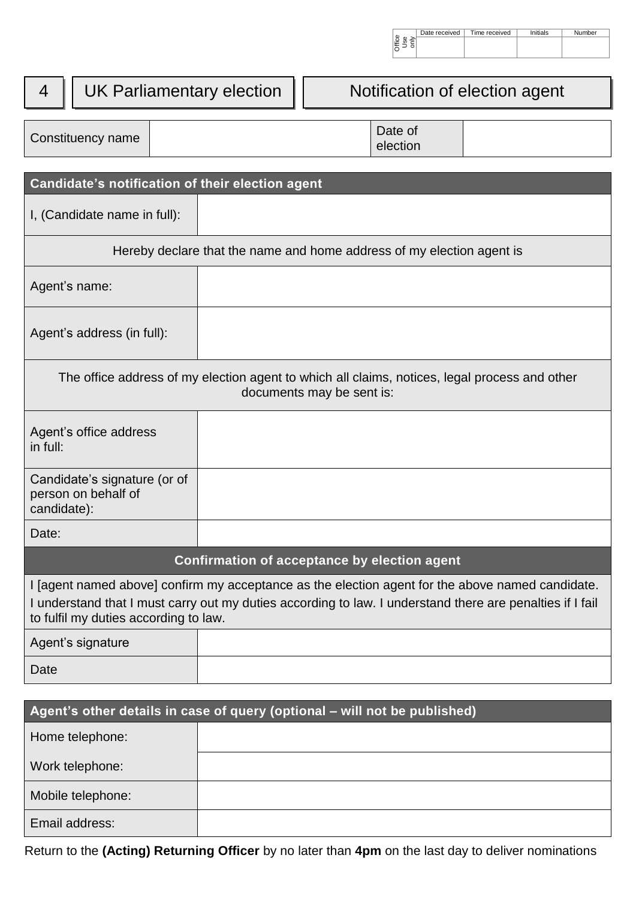|     | Date received | Time received | hitials | Number |
|-----|---------------|---------------|---------|--------|
| ice |               |               |         |        |
|     |               |               |         |        |

|                                                                                                                                                                                                                                                        |  | <sub>음료 등</sub>  <br> 통금                                              |                                |  |
|--------------------------------------------------------------------------------------------------------------------------------------------------------------------------------------------------------------------------------------------------------|--|-----------------------------------------------------------------------|--------------------------------|--|
| UK Parliamentary election<br>4                                                                                                                                                                                                                         |  |                                                                       | Notification of election agent |  |
| Constituency name                                                                                                                                                                                                                                      |  | Date of<br>election                                                   |                                |  |
| Candidate's notification of their election agent                                                                                                                                                                                                       |  |                                                                       |                                |  |
| I, (Candidate name in full):                                                                                                                                                                                                                           |  |                                                                       |                                |  |
|                                                                                                                                                                                                                                                        |  | Hereby declare that the name and home address of my election agent is |                                |  |
| Agent's name:                                                                                                                                                                                                                                          |  |                                                                       |                                |  |
| Agent's address (in full):                                                                                                                                                                                                                             |  |                                                                       |                                |  |
| The office address of my election agent to which all claims, notices, legal process and other<br>documents may be sent is:                                                                                                                             |  |                                                                       |                                |  |
| Agent's office address<br>in full:                                                                                                                                                                                                                     |  |                                                                       |                                |  |
| Candidate's signature (or of<br>person on behalf of<br>candidate):                                                                                                                                                                                     |  |                                                                       |                                |  |
| Date:                                                                                                                                                                                                                                                  |  |                                                                       |                                |  |
|                                                                                                                                                                                                                                                        |  | Confirmation of acceptance by election agent                          |                                |  |
| I [agent named above] confirm my acceptance as the election agent for the above named candidate.<br>I understand that I must carry out my duties according to law. I understand there are penalties if I fail<br>to fulfil my duties according to law. |  |                                                                       |                                |  |
| Agent's signature                                                                                                                                                                                                                                      |  |                                                                       |                                |  |
| Date                                                                                                                                                                                                                                                   |  |                                                                       |                                |  |
| Agent's other details in case of query (optional - will not be published)                                                                                                                                                                              |  |                                                                       |                                |  |
| Home telephone:                                                                                                                                                                                                                                        |  |                                                                       |                                |  |
| Work telephone:                                                                                                                                                                                                                                        |  |                                                                       |                                |  |

Return to the **(Acting) Returning Officer** by no later than **4pm** on the last day to deliver nominations

Mobile telephone:

Email address: